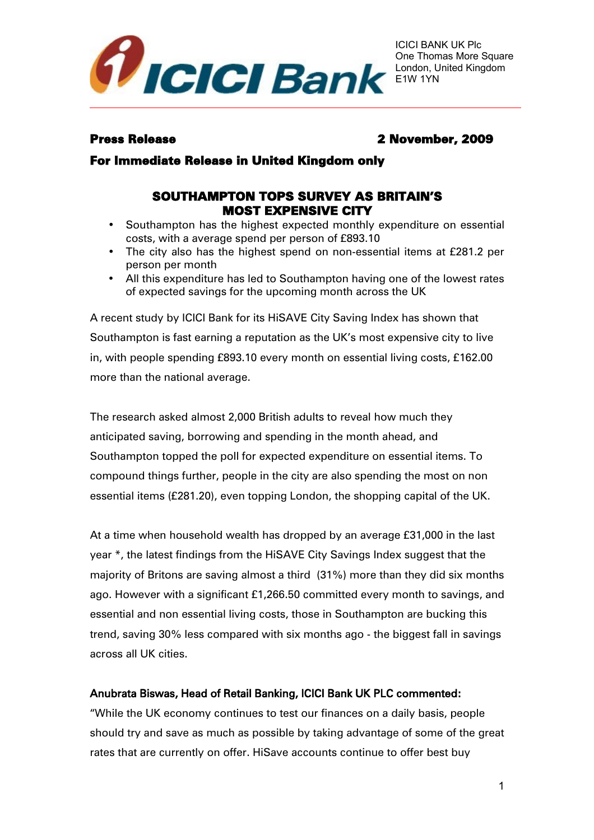

# Press Release 2 November, 2009

## For Immediate Release in United Kingdom only

## SOUTHAMPTON TOPS SURVEY AS BRITAIN'S MOST EXPENSIVE CITY

- Southampton has the highest expected monthly expenditure on essential costs, with a average spend per person of £893.10
- The city also has the highest spend on non-essential items at £281.2 per person per month
- All this expenditure has led to Southampton having one of the lowest rates of expected savings for the upcoming month across the UK

A recent study by ICICI Bank for its HiSAVE City Saving Index has shown that Southampton is fast earning a reputation as the UK's most expensive city to live in, with people spending £893.10 every month on essential living costs, £162.00 more than the national average.

The research asked almost 2,000 British adults to reveal how much they anticipated saving, borrowing and spending in the month ahead, and Southampton topped the poll for expected expenditure on essential items. To compound things further, people in the city are also spending the most on non essential items (£281.20), even topping London, the shopping capital of the UK.

At a time when household wealth has dropped by an average £31,000 in the last year \*, the latest findings from the HiSAVE City Savings Index suggest that the majority of Britons are saving almost a third (31%) more than they did six months ago. However with a significant £1,266.50 committed every month to savings, and essential and non essential living costs, those in Southampton are bucking this trend, saving 30% less compared with six months ago - the biggest fall in savings across all UK cities.

## Anubrata Biswas, Head of Retail Banking, ICICI Bank UK PLC commented:

"While the UK economy continues to test our finances on a daily basis, people should try and save as much as possible by taking advantage of some of the great rates that are currently on offer. HiSave accounts continue to offer best buy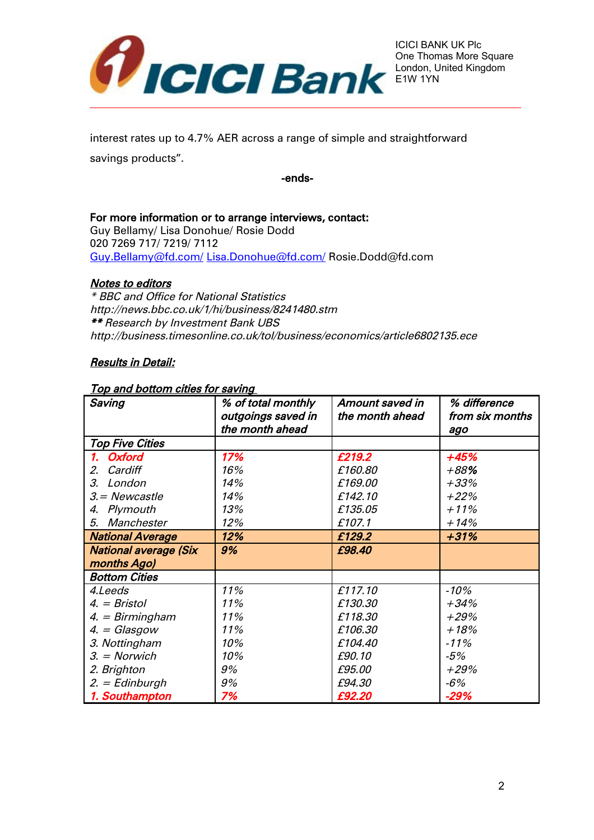

interest rates up to 4.7% AER across a range of simple and straightforward savings products".

-ends-

#### For more information or to arrange interviews, contact:

Guy Bellamy/ Lisa Donohue/ Rosie Dodd 020 7269 717/ 7219/ 7112 [Guy.Bellamy@fd.com/](mailto:Guy.Bellamy@fd.com/) [Lisa.Donohue@fd.com/](mailto:Lisa.Donohue@fd.com/) Rosie.Dodd@fd.com

#### **Notes to editors**

\* BBC and Office for National Statistics http://news.bbc.co.uk/1/hi/business/8241480.stm \*\* Research by Investment Bank UBS http://business.timesonline.co.uk/tol/business/economics/article6802135.ece

### Results in Detail:

#### Top and bottom cities for saving

| Saving                       | % of total monthly | Amount saved in | % difference    |
|------------------------------|--------------------|-----------------|-----------------|
|                              | outgoings saved in | the month ahead | from six months |
|                              | the month ahead    |                 | ago             |
| <b>Top Five Cities</b>       |                    |                 |                 |
| 1. Oxford                    | 17%                | £219.2          | $+45%$          |
| Cardiff<br>2.                | 16%                | £160.80         | $+88%$          |
| З.<br>London                 | 14%                | £169,00         | $+33%$          |
| 3. = Newcastle               | 14%                | £142.10         | $+22%$          |
| Plymouth<br>4.               | 13%                | £135.05         | $+11%$          |
| 5. Manchester                | 12%                | £107.1          | $+14%$          |
| <b>National Average</b>      | 12%                | £129.2          | $+31%$          |
| <b>National average (Six</b> | 9%                 | £98.40          |                 |
| months Ago)                  |                    |                 |                 |
| <b>Bottom Cities</b>         |                    |                 |                 |
| 4.Leeds                      | 11%                | £117.10         | $-10%$          |
| $4. = Bristol$               | 11%                | £130.30         | $+34%$          |
| $4. = Birmingham$            | 11%                | £118.30         | $+29%$          |
| $4. = Glasgow$               | 11%                | £106.30         | $+18%$          |
| 3. Nottingham                | 10%                | £104.40         | $-11%$          |
| $3. = \text{Norwich}$        | 10%                | £90.10          | $-5%$           |
| 2. Brighton                  | 9%                 | £95.00          | $+29%$          |
| $2. = Edinburgh$             | 9%                 | £94.30          | $-6%$           |
| 1. Southampton               | 7%                 | £92.20          | $-29%$          |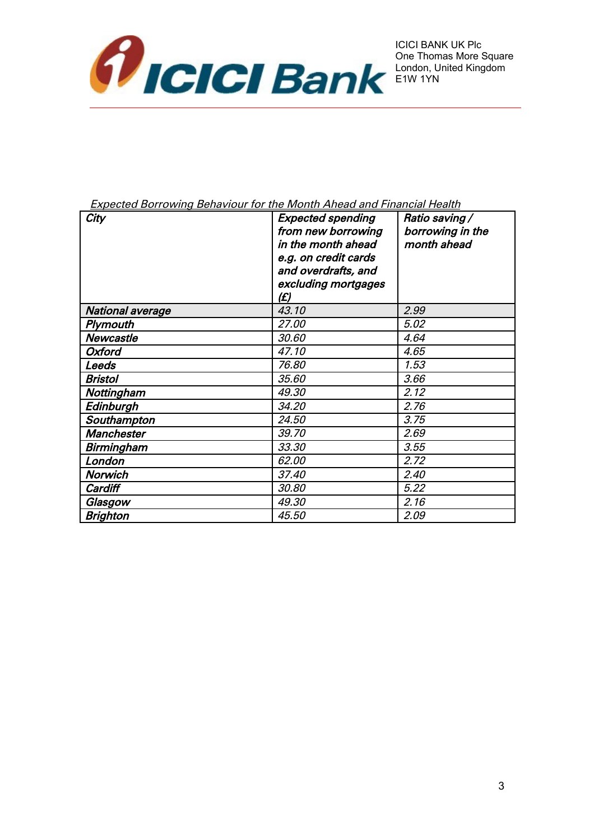

## Expected Borrowing Behaviour for the Month Ahead and Financial Health

| City              | <b>Expected spending</b><br>from new borrowing<br>in the month ahead<br>e.g. on credit cards<br>and overdrafts, and<br>excluding mortgages | Ratio saving /<br>borrowing in the<br>month ahead |  |
|-------------------|--------------------------------------------------------------------------------------------------------------------------------------------|---------------------------------------------------|--|
|                   | (£)                                                                                                                                        |                                                   |  |
| National average  | 43.10                                                                                                                                      | 2.99                                              |  |
| Plymouth          | 27.00                                                                                                                                      | 5.02                                              |  |
| Newcastle         | 30.60                                                                                                                                      | 4.64                                              |  |
| <b>Oxford</b>     | 47.10                                                                                                                                      | 4.65                                              |  |
| Leeds             | 76.80                                                                                                                                      | 1.53                                              |  |
| <b>Bristol</b>    | 35.60                                                                                                                                      | 3.66                                              |  |
| Nottingham        | 49.30                                                                                                                                      | 2.12                                              |  |
| Edinburgh         | 34.20                                                                                                                                      | 2.76                                              |  |
| Southampton       | 24.50                                                                                                                                      | 3.75                                              |  |
| <b>Manchester</b> | 39.70                                                                                                                                      | 2.69                                              |  |
| Birmingham        | 33.30                                                                                                                                      | 3.55                                              |  |
| London            | 62.00                                                                                                                                      | 2.72                                              |  |
| Norwich           | 37.40                                                                                                                                      | 2.40                                              |  |
| Cardiff           | 30.80                                                                                                                                      | 5.22                                              |  |
| Glasgow           | 49.30                                                                                                                                      | 2.16                                              |  |
| <b>Brighton</b>   | 45.50                                                                                                                                      | 2.09                                              |  |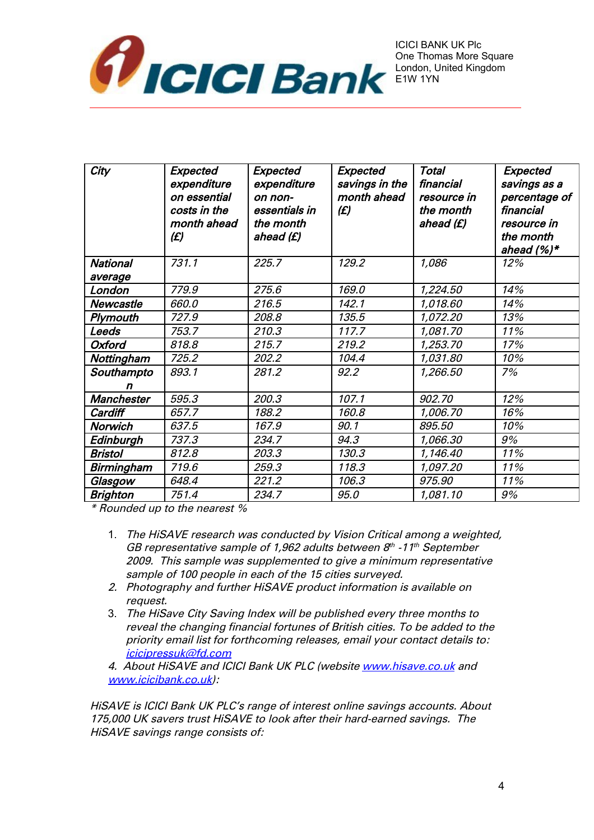

| City              | Expected<br>expenditure<br>on essential<br>costs in the<br>month ahead<br>(E) | Expected<br>expenditure<br>on non-<br>essentials in<br>the month<br>ahead (£) | Expected<br>savings in the<br>month ahead<br>(E) | <b>Total</b><br>financial<br>resource in<br>the month<br>ahead (£) | Expected<br>savings as a<br>percentage of<br>financial<br>resource in<br>the month<br>ahead $(%)^*$ |
|-------------------|-------------------------------------------------------------------------------|-------------------------------------------------------------------------------|--------------------------------------------------|--------------------------------------------------------------------|-----------------------------------------------------------------------------------------------------|
| <b>National</b>   | 731.1                                                                         | 225.7                                                                         | 129.2                                            | 1,086                                                              | 12%                                                                                                 |
| average           |                                                                               |                                                                               |                                                  |                                                                    |                                                                                                     |
| London            | 779.9                                                                         | 275.6                                                                         | 169.0                                            | 1,224.50                                                           | 14%                                                                                                 |
| <b>Newcastle</b>  | 660.0                                                                         | 216.5                                                                         | 142.1                                            | 1,018.60                                                           | 14%                                                                                                 |
| Plymouth          | 727.9                                                                         | 208.8                                                                         | 135.5                                            | 1,072.20                                                           | 13%                                                                                                 |
| Leeds             | 753.7                                                                         | 210.3                                                                         | 117.7                                            | 1,081.70                                                           | 11%                                                                                                 |
| <b>Oxford</b>     | 818.8                                                                         | 215.7                                                                         | 219.2                                            | 1,253.70                                                           | 17%                                                                                                 |
| Nottingham        | 725.2                                                                         | 202.2                                                                         | 104.4                                            | 1,031.80                                                           | 10%                                                                                                 |
| Southampto        | 893.1                                                                         | 281.2                                                                         | 92.2                                             | 1,266.50                                                           | 7%                                                                                                  |
| п                 |                                                                               |                                                                               |                                                  |                                                                    |                                                                                                     |
| <b>Manchester</b> | 595.3                                                                         | 200.3                                                                         | 107.1                                            | 902.70                                                             | 12%                                                                                                 |
| Cardiff           | 657.7                                                                         | 188.2                                                                         | 160.8                                            | 1,006.70                                                           | 16%                                                                                                 |
| <b>Norwich</b>    | 637.5                                                                         | 167.9                                                                         | 90.1                                             | 895.50                                                             | 10%                                                                                                 |
| Edinburgh         | 737.3                                                                         | 234.7                                                                         | 94.3                                             | 1,066.30                                                           | 9%                                                                                                  |
| <b>Bristol</b>    | 812.8                                                                         | 203.3                                                                         | 130.3                                            | 1,146.40                                                           | 11%                                                                                                 |
| Birmingham        | 719.6                                                                         | 259.3                                                                         | 118.3                                            | 1,097.20                                                           | 11%                                                                                                 |
| Glasgow           | 648.4                                                                         | 221.2                                                                         | 106.3                                            | 975.90                                                             | 11%                                                                                                 |
| <b>Brighton</b>   | 751.4                                                                         | 234.7                                                                         | 95.0                                             | 1,081.10                                                           | 9%                                                                                                  |

\* Rounded up to the nearest %

- 1. The HiSAVE research was conducted by Vision Critical among a weighted, GB representative sample of 1,962 adults between  $8<sup>th</sup>$  -11<sup>th</sup> September 2009. This sample was supplemented to give a minimum representative sample of 100 people in each of the 15 cities surveyed.
- 2. Photography and further HiSAVE product information is available on request.
- 3. The HiSave City Saving Index will be published every three months to reveal the changing financial fortunes of British cities. To be added to the priority email list for forthcoming releases, email your contact details to: [icicipressuk@fd.com](mailto:icicipressuk@fd.com)
- 4. About HiSAVE and ICICI Bank UK PLC (website [www.hisave.co.uk](http://www.hisave.co.uk/) and [www.icicibank.co.uk\)](http://www.icicibank.co.uk/):

HiSAVE is ICICI Bank UK PLC's range of interest online savings accounts. About 175,000 UK savers trust HiSAVE to look after their hard-earned savings. The HiSAVE savings range consists of: